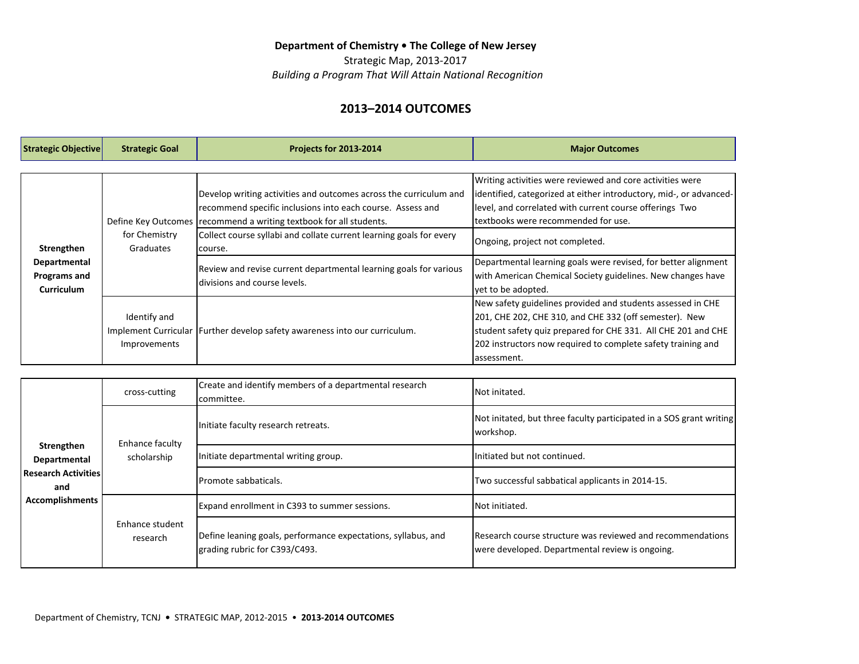### Department of Chemistry . The College of New Jersey

Strategic Map, 2013-2017  *Building a Program That Will Attain National Recognition*

# **2013–2014 OUTCOMES**

| <b>Strategic Objective</b>                                      | <b>Strategic Goal</b>        | <b>Projects for 2013-2014</b>                                                                                                                                                                                                                                                             | <b>Major Outcomes</b>                                                                                                                                                                                                                                                  |
|-----------------------------------------------------------------|------------------------------|-------------------------------------------------------------------------------------------------------------------------------------------------------------------------------------------------------------------------------------------------------------------------------------------|------------------------------------------------------------------------------------------------------------------------------------------------------------------------------------------------------------------------------------------------------------------------|
|                                                                 |                              |                                                                                                                                                                                                                                                                                           |                                                                                                                                                                                                                                                                        |
| Strengthen<br>Departmental<br>Programs and<br><b>Curriculum</b> | for Chemistry<br>Graduates   | Develop writing activities and outcomes across the curriculum and<br>recommend specific inclusions into each course. Assess and<br>Define Key Outcomes (recommend a writing textbook for all students.<br>Collect course syllabi and collate current learning goals for every<br>Icourse. | Writing activities were reviewed and core activities were<br>lidentified, categorized at either introductory, mid-, or advanced-<br>level, and correlated with current course offerings Two<br>ltextbooks were recommended for use.<br>Ongoing, project not completed. |
|                                                                 |                              | Review and revise current departmental learning goals for various<br>Idivisions and course levels.                                                                                                                                                                                        | Departmental learning goals were revised, for better alignment<br>with American Chemical Society guidelines. New changes have<br>yet to be adopted.                                                                                                                    |
|                                                                 | Identify and<br>Improvements | Implement Curricular   Further develop safety awareness into our curriculum.                                                                                                                                                                                                              | New safety guidelines provided and students assessed in CHE<br>201, CHE 202, CHE 310, and CHE 332 (off semester). New<br>student safety quiz prepared for CHE 331. All CHE 201 and CHE<br>202 instructors now required to complete safety training and<br>lassessment. |

| Strengthen<br>Departmental<br>Research Activities<br>and<br><b>Accomplishments</b> | cross-cutting                  | Create and identify members of a departmental research<br>lcommittee.                          | INot initated.                                                                                                |
|------------------------------------------------------------------------------------|--------------------------------|------------------------------------------------------------------------------------------------|---------------------------------------------------------------------------------------------------------------|
|                                                                                    | Enhance faculty<br>scholarship | Initiate faculty research retreats.                                                            | Not initated, but three faculty participated in a SOS grant writing<br>workshop.                              |
|                                                                                    |                                | Initiate departmental writing group.                                                           | Initiated but not continued.                                                                                  |
|                                                                                    |                                | Promote sabbaticals.                                                                           | Two successful sabbatical applicants in 2014-15.                                                              |
|                                                                                    | Enhance student<br>research    | Expand enrollment in C393 to summer sessions.                                                  | <b>Not initiated.</b>                                                                                         |
|                                                                                    |                                | Define leaning goals, performance expectations, syllabus, and<br>grading rubric for C393/C493. | Research course structure was reviewed and recommendations<br>were developed. Departmental review is ongoing. |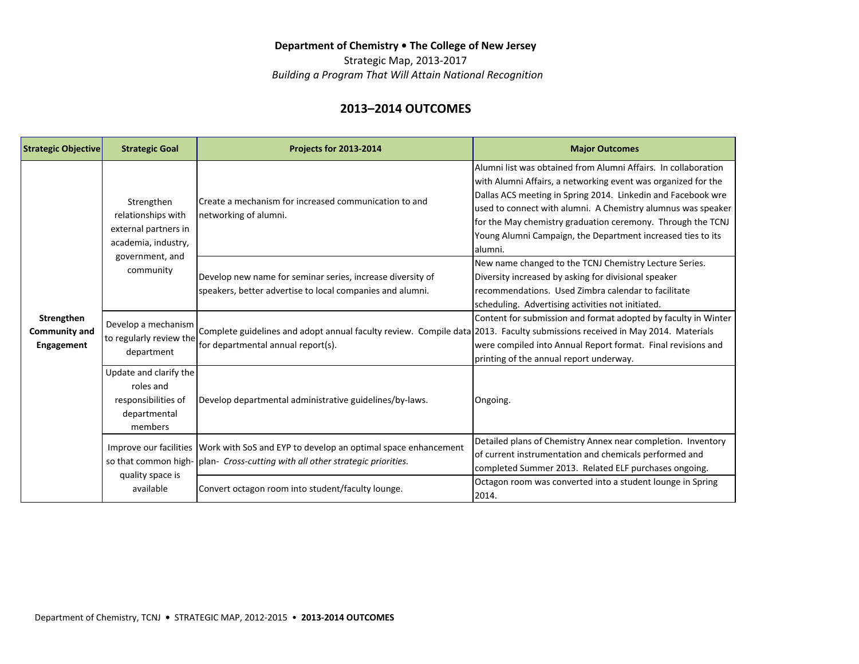### Department of Chemistry . The College of New Jersey

Strategic Map, 2013-2017  *Building a Program That Will Attain National Recognition*

# **2013–2014 OUTCOMES**

| <b>Strategic Objective</b>                | <b>Strategic Goal</b>                                                                                           | <b>Projects for 2013-2014</b>                                                                                                                                           | <b>Major Outcomes</b>                                                                                                                                                                                                                                                                                                                                                                                      |
|-------------------------------------------|-----------------------------------------------------------------------------------------------------------------|-------------------------------------------------------------------------------------------------------------------------------------------------------------------------|------------------------------------------------------------------------------------------------------------------------------------------------------------------------------------------------------------------------------------------------------------------------------------------------------------------------------------------------------------------------------------------------------------|
| Strengthen<br>Community and<br>Engagement | Strengthen<br>relationships with<br>external partners in<br>academia, industry,<br>government, and<br>community | Create a mechanism for increased communication to and<br>networking of alumni.                                                                                          | lAlumni list was obtained from Alumni Affairs. In collaboration<br>with Alumni Affairs, a networking event was organized for the<br>Dallas ACS meeting in Spring 2014. Linkedin and Facebook wre<br>used to connect with alumni. A Chemistry alumnus was speaker<br>for the May chemistry graduation ceremony. Through the TCNJ<br>Young Alumni Campaign, the Department increased ties to its<br>lalumni. |
|                                           |                                                                                                                 | Develop new name for seminar series, increase diversity of<br>speakers, better advertise to local companies and alumni.                                                 | New name changed to the TCNJ Chemistry Lecture Series.<br>Diversity increased by asking for divisional speaker<br>recommendations. Used Zimbra calendar to facilitate<br>scheduling. Advertising activities not initiated.                                                                                                                                                                                 |
|                                           | Develop a mechanism<br>to regularly review the<br>department                                                    | Complete guidelines and adopt annual faculty review. Compile data 2013. Faculty submissions received in May 2014. Materials<br>for departmental annual report(s).       | Content for submission and format adopted by faculty in Winter<br>were compiled into Annual Report format. Final revisions and<br>printing of the annual report underway.                                                                                                                                                                                                                                  |
|                                           | Update and clarify the<br>roles and<br>responsibilities of<br>departmental<br>members                           | Develop departmental administrative guidelines/by-laws.                                                                                                                 | Ongoing.                                                                                                                                                                                                                                                                                                                                                                                                   |
|                                           | quality space is<br>available                                                                                   | Improve our facilities Work with SoS and EYP to develop an optimal space enhancement<br>so that common high-   plan- Cross-cutting with all other strategic priorities. | Detailed plans of Chemistry Annex near completion. Inventory<br>of current instrumentation and chemicals performed and<br>completed Summer 2013. Related ELF purchases ongoing.                                                                                                                                                                                                                            |
|                                           |                                                                                                                 | Convert octagon room into student/faculty lounge.                                                                                                                       | Octagon room was converted into a student lounge in Spring<br>2014.                                                                                                                                                                                                                                                                                                                                        |